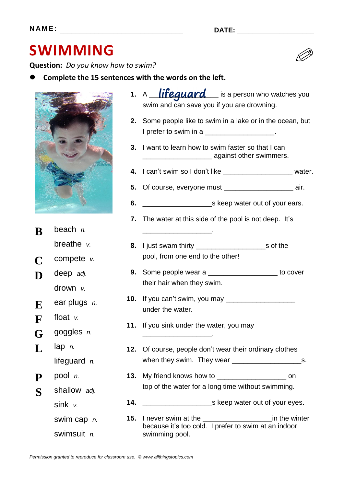## **SWIMMING**

**Question:** *Do you know how to swim?*

**Complete the 15 sentences with the words on the left.**



**B** beach *n.* breathe *v.* **C** compete *v.* **D** deep *adj.* drown *v.* **E** ear plugs *n.* **F** float *v.* **G** goggles *n.* **L** lap *n.* lifeguard *n.* **P** pool *n.* **S** shallow *adj.* sink *v.* swim cap *n.* swimsuit *n.*

|    | 1. A lifequard is a person who watches you<br>swim and can save you if you are drowning.                                     |  |
|----|------------------------------------------------------------------------------------------------------------------------------|--|
| 2. | Some people like to swim in a lake or in the ocean, but<br>I prefer to swim in a ___________________.                        |  |
|    | 3. I want to learn how to swim faster so that I can<br>digation and advisor and an advisor and advisor and advisor swimmers. |  |
|    | 4. I can't swim so I don't like _______________________ water.                                                               |  |
|    | <b>5.</b> Of course, everyone must __________________________ air.                                                           |  |
| 6. |                                                                                                                              |  |
|    | <b>7.</b> The water at this side of the pool is not deep. It's                                                               |  |
|    |                                                                                                                              |  |
|    |                                                                                                                              |  |
|    | pool, from one end to the other!                                                                                             |  |
| 9. | Some people wear a ______________________ to cover                                                                           |  |
|    | their hair when they swim.                                                                                                   |  |
|    |                                                                                                                              |  |

- **10.** If you can't swim, you may \_\_\_\_\_\_\_\_\_\_\_\_\_\_\_\_\_\_\_\_\_ under the water.
- **11.** If you sink under the water, you may \_\_\_\_\_\_\_\_\_\_\_\_\_\_\_\_\_\_.
- **12.** Of course, people don't wear their ordinary clothes when they swim. They wear  $\frac{1}{2}$  =  $\frac{1}{2}$  =  $\frac{1}{2}$  =  $\frac{1}{2}$  =  $\frac{1}{2}$  =  $\frac{1}{2}$  =  $\frac{1}{2}$  =  $\frac{1}{2}$  =  $\frac{1}{2}$  =  $\frac{1}{2}$  =  $\frac{1}{2}$  =  $\frac{1}{2}$  =  $\frac{1}{2}$  =  $\frac{1}{2}$  =  $\frac{1}{2}$  =  $\frac{1}{2}$  =  $\frac$
- **13.** My friend knows how to \_\_\_\_\_\_\_\_\_\_\_\_\_\_\_\_\_\_ on top of the water for a long time without swimming.
- **14.** \_\_\_\_\_\_\_\_\_\_\_\_\_\_\_\_\_\_s keep water out of your eyes.
- **15.** I never swim at the \_\_\_\_\_\_\_\_\_\_\_\_\_\_\_\_\_\_in the winter because it's too cold. I prefer to swim at an indoor swimming pool.